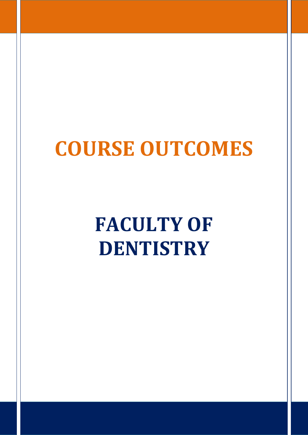## **COURSE OUTCOMES**

**FACULTY OF DENTISTRY**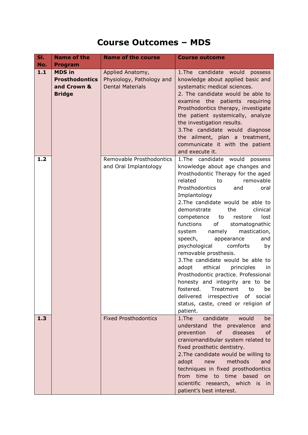## **Course Outcomes – MDS**

| SI.<br>No.                                                                    | <b>Name of the</b><br><b>Program</b> | <b>Name of the course</b>                                                | <b>Course outcome</b>                                                                                                                                                                                                                                                                                                                                                                                                                                                                                                                                                                                                                                                                                                                                              |
|-------------------------------------------------------------------------------|--------------------------------------|--------------------------------------------------------------------------|--------------------------------------------------------------------------------------------------------------------------------------------------------------------------------------------------------------------------------------------------------------------------------------------------------------------------------------------------------------------------------------------------------------------------------------------------------------------------------------------------------------------------------------------------------------------------------------------------------------------------------------------------------------------------------------------------------------------------------------------------------------------|
| 1.1<br><b>MDS in</b><br><b>Prosthodontics</b><br>and Crown &<br><b>Bridge</b> |                                      | Applied Anatomy,<br>Physiology, Pathology and<br><b>Dental Materials</b> | 1. The candidate would<br>possess<br>knowledge about applied basic and<br>systematic medical sciences.<br>2. The candidate would be able to<br>examine the patients requiring<br>Prosthodontics therapy, investigate<br>the patient systemically, analyze<br>the investigation results.<br>3. The candidate would diagnose<br>the ailment, plan a treatment,<br>communicate it with the patient<br>and execute it.                                                                                                                                                                                                                                                                                                                                                 |
| 1.2                                                                           |                                      | Removable Prosthodontics<br>and Oral Implantology                        | 1. The candidate would<br>possess<br>knowledge about age changes and<br>Prosthodontic Therapy for the aged<br>related<br>removable<br>to<br>Prosthodontics<br>and<br>oral<br>Implantology<br>2. The candidate would be able to<br>clinical<br>demonstrate<br>the<br>lost<br>competence<br>to<br>restore<br>functions<br>of<br>stomatognathic<br>namely<br>system<br>mastication,<br>speech,<br>appearance<br>and<br>psychological<br>comforts<br>by<br>removable prosthesis.<br>3. The candidate would be able to<br>ethical<br>principles<br>adopt<br>in.<br>Prosthodontic practice. Professional<br>honesty and integrity are to be<br>fostered. Treatment<br>be<br>to<br>delivered irrespective<br>of social<br>status, caste, creed or religion of<br>patient. |
| 1.3                                                                           |                                      | <b>Fixed Prosthodontics</b>                                              | candidate<br>$1.$ The<br>would<br>be<br>understand the prevalence<br>and<br>of<br>diseases<br>prevention<br>0f<br>craniomandibular system related to<br>fixed prosthetic dentistry.<br>2. The candidate would be willing to<br>methods<br>adopt<br>new<br>and<br>techniques in fixed prosthodontics<br>from time to time based<br>on<br>scientific research, which is in<br>patient's best interest.                                                                                                                                                                                                                                                                                                                                                               |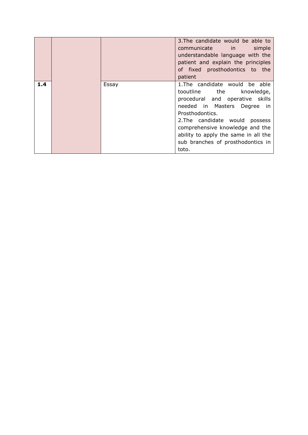|     |       | 3. The candidate would be able to<br>communicate in simple<br>understandable language with the<br>patient and explain the principles<br>of fixed prosthodontics to the<br>patient                                                                                                                                |
|-----|-------|------------------------------------------------------------------------------------------------------------------------------------------------------------------------------------------------------------------------------------------------------------------------------------------------------------------|
| 1.4 | Essay | 1. The candidate would be able<br>tooutline the<br>knowledge,<br>procedural and operative skills<br>needed in Masters Degree in<br>Prosthodontics.<br>2. The candidate would<br>possess<br>comprehensive knowledge and the<br>ability to apply the same in all the<br>sub branches of prosthodontics in<br>toto. |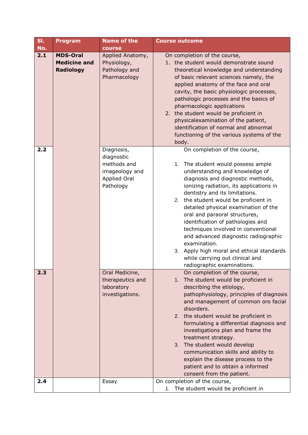| SI.                                                               | <b>Program</b> | <b>Name of the</b>                                                                            | <b>Course outcome</b>                                                                                                                                                                                                                                                                                                                                                                                                                                                                                                                                                                      |
|-------------------------------------------------------------------|----------------|-----------------------------------------------------------------------------------------------|--------------------------------------------------------------------------------------------------------------------------------------------------------------------------------------------------------------------------------------------------------------------------------------------------------------------------------------------------------------------------------------------------------------------------------------------------------------------------------------------------------------------------------------------------------------------------------------------|
| No.                                                               |                | course                                                                                        |                                                                                                                                                                                                                                                                                                                                                                                                                                                                                                                                                                                            |
| 2.1<br><b>MDS-Oral</b><br><b>Medicine and</b><br><b>Radiology</b> |                | Applied Anatomy,<br>Physiology,<br>Pathology and<br>Pharmacology                              | On completion of the course,<br>1. the student would demonstrate sound<br>theoretical knowledge and understanding<br>of basic relevant sciences namely, the<br>applied anatomy of the face and oral<br>cavity, the basic physiologic processes,<br>pathologic processes and the basics of<br>pharmacologic applications<br>2. the student would be proficient in<br>physicalexamination of the patient,<br>identification of normal and abnormal<br>functioning of the various systems of the<br>body.                                                                                     |
| 2.2                                                               |                | Diagnosis,<br>diagnostic<br>methods and<br>imageology and<br><b>Applied Oral</b><br>Pathology | On completion of the course,<br>1. The student would possess ample<br>understanding and knowledge of<br>diagnosis and diagnostic methods,<br>ionizing radiation, its applications in<br>dentistry and its limitations.<br>2. the student would be proficient in<br>detailed physical examination of the<br>oral and paraoral structures,<br>identification of pathologies and<br>techniques involved in conventional<br>and advanced diagnostic radiographic<br>examination.<br>3. Apply high moral and ethical standards<br>while carrying out clinical and<br>radiographic examinations. |
| 2.3                                                               |                | Oral Medicine,<br>therapeutics and<br>laboratory<br>investigations.                           | On completion of the course,<br>1. The student would be proficient in<br>describing the etiology,<br>pathophysiology, principles of diagnosis<br>and management of common oro facial<br>disorders.<br>2. the student would be proficient in<br>formulating a differential diagnosis and<br>investigations plan and frame the<br>treatment strategy.<br>3. The student would develop<br>communication skills and ability to<br>explain the disease process to the<br>patient and to obtain a informed<br>consent from the patient.                                                          |
| 2.4                                                               |                | Essay                                                                                         | On completion of the course,<br>1. The student would be proficient in                                                                                                                                                                                                                                                                                                                                                                                                                                                                                                                      |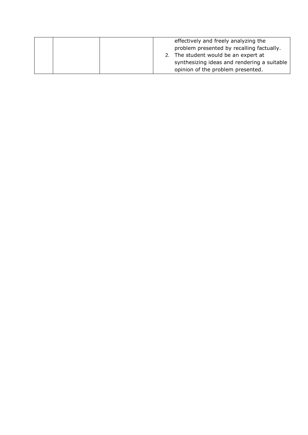|  |                | effectively and freely analyzing the        |
|--|----------------|---------------------------------------------|
|  |                | problem presented by recalling factually.   |
|  | 2 <sub>1</sub> | The student would be an expert at           |
|  |                | synthesizing ideas and rendering a suitable |
|  |                | opinion of the problem presented.           |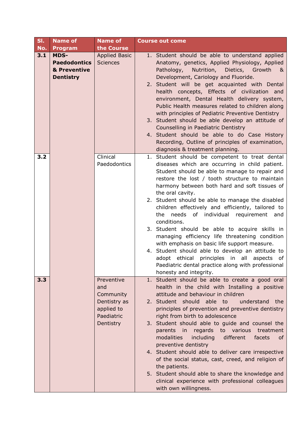| SI. | <b>Name of</b>                                                  | <b>Name of</b>                                                                          | <b>Course out come</b>                                                                                                                                                                                                                                                                                                                                                                                                                                                                                                                                                                                                                                                                                                                                                                   |
|-----|-----------------------------------------------------------------|-----------------------------------------------------------------------------------------|------------------------------------------------------------------------------------------------------------------------------------------------------------------------------------------------------------------------------------------------------------------------------------------------------------------------------------------------------------------------------------------------------------------------------------------------------------------------------------------------------------------------------------------------------------------------------------------------------------------------------------------------------------------------------------------------------------------------------------------------------------------------------------------|
| No. | Program                                                         | the Course                                                                              |                                                                                                                                                                                                                                                                                                                                                                                                                                                                                                                                                                                                                                                                                                                                                                                          |
| 3.1 | MDS-<br><b>Paedodontics</b><br>& Preventive<br><b>Dentistry</b> | <b>Applied Basic</b><br><b>Sciences</b>                                                 | 1. Student should be able to understand applied<br>Anatomy, genetics, Applied Physiology, Applied<br>Pathology,<br>Nutrition,<br>Dietics, Growth<br><u>&amp;</u><br>Development, Cariology and Fluoride.<br>2. Student will be get acquainted with Dental<br>health concepts, Effects of civilization and<br>environment, Dental Health delivery system,<br>Public Health measures related to children along<br>with principles of Pediatric Preventive Dentistry<br>3. Student should be able develop an attitude of<br>Counselling in Paediatric Dentistry<br>4. Student should be able to do Case History<br>Recording, Outline of principles of examination,<br>diagnosis & treatment planning.                                                                                      |
| 3.2 |                                                                 | Clinical<br>Paedodontics                                                                | 1. Student should be competent to treat dental<br>diseases which are occurring in child patient.<br>Student should be able to manage to repair and<br>restore the lost / tooth structure to maintain<br>harmony between both hard and soft tissues of<br>the oral cavity.<br>2. Student should be able to manage the disabled<br>children effectively and efficiently, tailored to<br>needs of individual requirement and<br>the<br>conditions.<br>3. Student should be able to acquire skills in<br>managing efficiency life threatening condition<br>with emphasis on basic life support measure.<br>4. Student should able to develop an attitude to<br>principles in all aspects of<br>adopt ethical<br>Paediatric dental practice along with professional<br>honesty and integrity. |
| 3.3 |                                                                 | Preventive<br>and<br>Community<br>Dentistry as<br>applied to<br>Paediatric<br>Dentistry | 1. Student should be able to create a good oral<br>health in the child with Installing a positive<br>attitude and behaviour in children<br>2. Student should able to<br>understand<br>the<br>principles of prevention and preventive dentistry<br>right from birth to adolescence<br>3. Student should able to quide and counsel the<br>regards to various<br>parents in<br>treatment<br>modalities<br>including<br>different<br>facets<br>0f<br>preventive dentistry<br>4. Student should able to deliver care irrespective<br>of the social status, cast, creed, and religion of<br>the patients.<br>5. Student should able to share the knowledge and<br>clinical experience with professional colleagues<br>with own willingness.                                                    |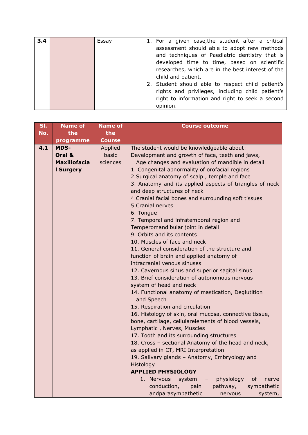| 3.4 | Essay | 1. For a given case, the student after a critical |
|-----|-------|---------------------------------------------------|
|     |       | assessment should able to adopt new methods       |
|     |       | and techniques of Paediatric dentistry that is    |
|     |       | developed time to time, based on scientific       |
|     |       | researches, which are in the best interest of the |
|     |       | child and patient.                                |
|     |       | 2. Student should able to respect child patient's |
|     |       | rights and privileges, including child patient's  |
|     |       | right to information and right to seek a second   |
|     |       | opinion.                                          |

| SI. | <b>Name of</b>      | <b>Name of</b> | <b>Course outcome</b>                                   |  |
|-----|---------------------|----------------|---------------------------------------------------------|--|
| No. | the                 | the            |                                                         |  |
|     | programme           | <b>Course</b>  |                                                         |  |
| 4.1 | <b>MDS-</b>         | Applied        | The student would be knowledgeable about:               |  |
|     | Oral &              | basic          | Development and growth of face, teeth and jaws,         |  |
|     | <b>Maxillofacia</b> | sciences       | Age changes and evaluation of mandible in detail        |  |
|     | <b>I Surgery</b>    |                | 1. Congenital abnormality of orofacial regions          |  |
|     |                     |                | 2. Surgical anatomy of scalp, temple and face           |  |
|     |                     |                | 3. Anatomy and its applied aspects of triangles of neck |  |
|     |                     |                | and deep structures of neck                             |  |
|     |                     |                | 4. Cranial facial bones and surrounding soft tissues    |  |
|     |                     |                | 5. Cranial nerves                                       |  |
|     |                     |                | 6. Tongue                                               |  |
|     |                     |                | 7. Temporal and infratemporal region and                |  |
|     |                     |                | Temperomandibular joint in detail                       |  |
|     |                     |                | 9. Orbits and its contents                              |  |
|     |                     |                | 10. Muscles of face and neck                            |  |
|     |                     |                | 11. General consideration of the structure and          |  |
|     |                     |                | function of brain and applied anatomy of                |  |
|     |                     |                | intracranial venous sinuses                             |  |
|     |                     |                | 12. Cavernous sinus and superior sagital sinus          |  |
|     |                     |                | 13. Brief consideration of autonomous nervous           |  |
|     |                     |                | system of head and neck                                 |  |
|     |                     |                | 14. Functional anatomy of mastication, Deglutition      |  |
|     |                     |                | and Speech                                              |  |
|     |                     |                | 15. Respiration and circulation                         |  |
|     |                     |                | 16. Histology of skin, oral mucosa, connective tissue,  |  |
|     |                     |                | bone, cartilage, cellularelements of blood vessels,     |  |
|     |                     |                | Lymphatic, Nerves, Muscles                              |  |
|     |                     |                | 17. Tooth and its surrounding structures                |  |
|     |                     |                | 18. Cross - sectional Anatomy of the head and neck,     |  |
|     |                     |                | as applied in CT, MRI Interpretation                    |  |
|     |                     |                | 19. Salivary glands - Anatomy, Embryology and           |  |
|     |                     |                | Histology                                               |  |
|     |                     |                | <b>APPLIED PHYSIOLOGY</b>                               |  |
|     |                     |                | 1. Nervous<br>system<br>physiology<br>of<br>nerve       |  |
|     |                     |                | conduction,<br>pain<br>pathway,<br>sympathetic          |  |
|     |                     |                | andparasympathetic<br>system,<br>nervous                |  |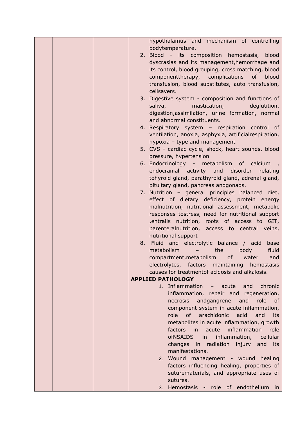|  | hypothalamus and mechanism of controlling                                                                                                                                                                                                                                  |
|--|----------------------------------------------------------------------------------------------------------------------------------------------------------------------------------------------------------------------------------------------------------------------------|
|  | bodytemperature.                                                                                                                                                                                                                                                           |
|  | 2. Blood - its composition hemostasis, blood                                                                                                                                                                                                                               |
|  | dyscrasias and its management, hemorrhage and                                                                                                                                                                                                                              |
|  | its control, blood grouping, cross matching, blood                                                                                                                                                                                                                         |
|  | componenttherapy, complications of<br>blood                                                                                                                                                                                                                                |
|  | transfusion, blood substitutes, auto transfusion,                                                                                                                                                                                                                          |
|  | cellsavers.                                                                                                                                                                                                                                                                |
|  | 3. Digestive system - composition and functions of                                                                                                                                                                                                                         |
|  | mastication, mastication<br>deglutition,<br>saliva, and a strategies of the strategies of the strategies of the strategies of the strategies of the strategies of the strategies of the strategies of the strategies of the strategies of the strategies of the strategies |
|  |                                                                                                                                                                                                                                                                            |
|  | digestion, assimilation, urine formation, normal                                                                                                                                                                                                                           |
|  | and abnormal constituents.                                                                                                                                                                                                                                                 |
|  | 4. Respiratory system - respiration control of                                                                                                                                                                                                                             |
|  | ventilation, anoxia, asphyxia, artificialrespiration,                                                                                                                                                                                                                      |
|  | hypoxia - type and management                                                                                                                                                                                                                                              |
|  | 5. CVS - cardiac cycle, shock, heart sounds, blood                                                                                                                                                                                                                         |
|  | pressure, hypertension                                                                                                                                                                                                                                                     |
|  | 6. Endocrinology - metabolism of calcium                                                                                                                                                                                                                                   |
|  | endocranial activity and disorder<br>relating                                                                                                                                                                                                                              |
|  | tohyroid gland, parathyroid gland, adrenal gland,                                                                                                                                                                                                                          |
|  | pituitary gland, pancreas andgonads.                                                                                                                                                                                                                                       |
|  | 7. Nutrition - general principles balanced diet,                                                                                                                                                                                                                           |
|  | effect of dietary deficiency, protein energy                                                                                                                                                                                                                               |
|  | malnutrition, nutritional assessment, metabolic                                                                                                                                                                                                                            |
|  | responses tostress, need for nutritional support                                                                                                                                                                                                                           |
|  | , entrails nutrition, roots of access to GIT,                                                                                                                                                                                                                              |
|  | parenteralnutrition, access to central veins,                                                                                                                                                                                                                              |
|  | nutritional support                                                                                                                                                                                                                                                        |
|  | 8. Fluid and electrolytic balance / acid<br>base                                                                                                                                                                                                                           |
|  | metabolism<br>body<br>fluid<br>the<br>$\overline{\phantom{a}}$                                                                                                                                                                                                             |
|  | compartment, metabolism<br>of<br>water<br>and                                                                                                                                                                                                                              |
|  | electrolytes, factors maintaining hemostasis                                                                                                                                                                                                                               |
|  | causes for treatmentof acidosis and alkalosis.                                                                                                                                                                                                                             |
|  | <b>APPLIED PATHOLOGY</b>                                                                                                                                                                                                                                                   |
|  | 1. Inflammation - acute<br>and<br>chronic                                                                                                                                                                                                                                  |
|  | inflammation, repair and regeneration,                                                                                                                                                                                                                                     |
|  | andgangrene<br>and<br>role of<br>necrosis                                                                                                                                                                                                                                  |
|  | component system in acute inflammation,                                                                                                                                                                                                                                    |
|  | role of arachidonic<br>acid<br>and<br>its                                                                                                                                                                                                                                  |
|  | metabolites in acute nflammation, growth                                                                                                                                                                                                                                   |
|  | acute inflammation<br>factors in<br>role                                                                                                                                                                                                                                   |
|  | ofNSAIDS in<br>inflammation,<br>cellular                                                                                                                                                                                                                                   |
|  | changes in radiation<br>injury and<br>its                                                                                                                                                                                                                                  |
|  | manifestations.                                                                                                                                                                                                                                                            |
|  |                                                                                                                                                                                                                                                                            |
|  | 2. Wound management - wound healing                                                                                                                                                                                                                                        |
|  | factors influencing healing, properties of                                                                                                                                                                                                                                 |
|  | suturematerials, and appropriate uses of                                                                                                                                                                                                                                   |
|  | sutures.                                                                                                                                                                                                                                                                   |
|  | 3. Hemostasis - role of endothelium in                                                                                                                                                                                                                                     |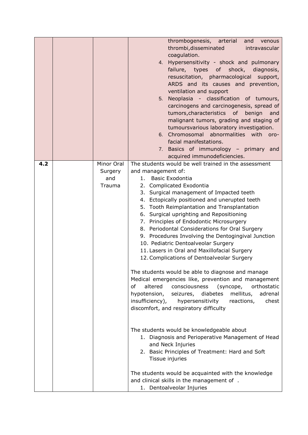|     |                                        | thrombogenesis, arterial<br>venous<br>and<br>thrombi, disseminated<br>intravascular<br>coagulation.<br>4. Hypersensitivity - shock and pulmonary<br>failure, types of shock,<br>diagnosis,<br>resuscitation, pharmacological<br>support,<br>ARDS and its causes and prevention,<br>ventilation and support<br>5. Neoplasia - classification of tumours,<br>carcinogens and carcinogenesis, spread of<br>tumors, characteristics of benign<br>and<br>malignant tumors, grading and staging of<br>tumoursvarious laboratory investigation.<br>6. Chromosomal abnormalities with<br>oro-<br>facial manifestations.<br>7. Basics of immunology - primary and<br>acquired immunodeficiencies.                                                                                                                                                                                                                                                                                   |
|-----|----------------------------------------|----------------------------------------------------------------------------------------------------------------------------------------------------------------------------------------------------------------------------------------------------------------------------------------------------------------------------------------------------------------------------------------------------------------------------------------------------------------------------------------------------------------------------------------------------------------------------------------------------------------------------------------------------------------------------------------------------------------------------------------------------------------------------------------------------------------------------------------------------------------------------------------------------------------------------------------------------------------------------|
| 4.2 | Minor Oral<br>Surgery<br>and<br>Trauma | The students would be well trained in the assessment<br>and management of:<br><b>Basic Exodontia</b><br>1.<br>2. Complicated Exodontia<br>3. Surgical management of Impacted teeth<br>4. Ectopically positioned and unerupted teeth<br>5. Tooth Reimplantation and Transplantation<br>6. Surgical uprighting and Repositioning<br>7. Principles of Endodontic Microsurgery<br>8. Periodontal Considerations for Oral Surgery<br>9. Procedures Involving the Dentogingival Junction<br>10. Pediatric Dentoalveolar Surgery<br>11. Lasers in Oral and Maxillofacial Surgery<br>12. Complications of Dentoalveolar Surgery<br>The students would be able to diagnose and manage<br>Medical emergencies like, prevention and management<br>altered<br>of<br>consciousness<br>(syncope,<br>orthostatic<br>hypotension,<br>seizures,<br>diabetes<br>mellitus,<br>adrenal<br>insufficiency),<br>hypersensitivity<br>reactions,<br>chest<br>discomfort, and respiratory difficulty |
|     |                                        | The students would be knowledgeable about<br>1. Diagnosis and Perioperative Management of Head<br>and Neck Injuries<br>2. Basic Principles of Treatment: Hard and Soft<br>Tissue injuries<br>The students would be acquainted with the knowledge<br>and clinical skills in the management of .<br>1. Dentoalveolar Injuries                                                                                                                                                                                                                                                                                                                                                                                                                                                                                                                                                                                                                                                |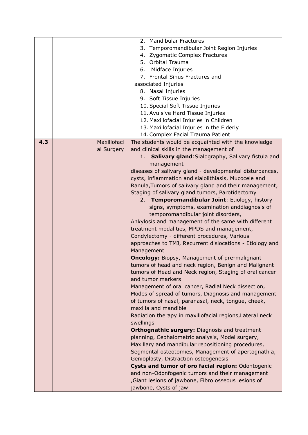| 2. Mandibular Fractures                                                                               |  |
|-------------------------------------------------------------------------------------------------------|--|
| 3. Temporomandibular Joint Region Injuries                                                            |  |
| 4. Zygomatic Complex Fractures                                                                        |  |
| 5. Orbital Trauma                                                                                     |  |
| Midface Injuries<br>6.                                                                                |  |
| 7. Frontal Sinus Fractures and                                                                        |  |
| associated Injuries                                                                                   |  |
| 8. Nasal Injuries                                                                                     |  |
| 9. Soft Tissue Injuries                                                                               |  |
| 10. Special Soft Tissue Injuries                                                                      |  |
| 11. Avulsive Hard Tissue Injuries                                                                     |  |
| 12. Maxillofacial Injuries in Children                                                                |  |
| 13. Maxillofacial Injuries in the Elderly                                                             |  |
| 14. Complex Facial Trauma Patient                                                                     |  |
| 4.3<br>Maxillofaci<br>The students would be acquainted with the knowledge                             |  |
| and clinical skills in the management of<br>al Surgery                                                |  |
| Salivary gland: Sialography, Salivary fistula and<br>1.                                               |  |
| management                                                                                            |  |
| diseases of salivary gland - developmental disturbances,                                              |  |
| cysts, inflammation and sialolithiasis, Mucocele and                                                  |  |
| Ranula, Tumors of salivary gland and their management,                                                |  |
| Staging of salivary gland tumors, Parotidectomy                                                       |  |
| 2. Temporomandibular Joint: Etiology, history                                                         |  |
| signs, symptoms, examination anddiagnosis of                                                          |  |
| temporomandibular joint disorders,                                                                    |  |
| Ankylosis and management of the same with different                                                   |  |
| treatment modalities, MPDS and management,                                                            |  |
| Condylectomy - different procedures, Various                                                          |  |
| approaches to TMJ, Recurrent dislocations - Etiology and                                              |  |
| Management                                                                                            |  |
| <b>Oncology: Biopsy, Management of pre-malignant</b>                                                  |  |
| tumors of head and neck region, Benign and Malignant                                                  |  |
| tumors of Head and Neck region, Staging of oral cancer                                                |  |
| and tumor markers                                                                                     |  |
| Management of oral cancer, Radial Neck dissection,                                                    |  |
| Modes of spread of tumors, Diagnosis and management                                                   |  |
| of tumors of nasal, paranasal, neck, tongue, cheek,                                                   |  |
| maxilla and mandible                                                                                  |  |
| Radiation therapy in maxillofacial regions, Lateral neck                                              |  |
| swellings                                                                                             |  |
|                                                                                                       |  |
|                                                                                                       |  |
| <b>Orthognathic surgery: Diagnosis and treatment</b>                                                  |  |
| planning, Cephalometric analysis, Model surgery,                                                      |  |
| Maxillary and mandibular repositioning procedures,                                                    |  |
| Segmental osteotomies, Management of apertognathia,                                                   |  |
| Genioplasty, Distraction osteogenesis                                                                 |  |
| Cysts and tumor of oro facial region: Odontogenic                                                     |  |
| and non-Odonfogenic tumors and their management<br>Giant lesions of jawbone, Fibro osseous lesions of |  |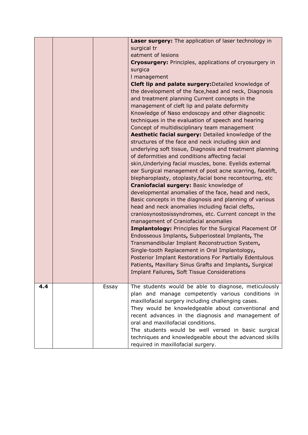|     |       | Laser surgery: The application of laser technology in<br>surgical tr<br>eatment of lesions<br>Cryosurgery: Principles, applications of cryosurgery in<br>surgica<br>I management<br>Cleft lip and palate surgery: Detailed knowledge of<br>the development of the face, head and neck, Diagnosis<br>and treatment planning Current concepts in the<br>management of cleft lip and palate deformity<br>Knowledge of Naso endoscopy and other diagnostic<br>techniques in the evaluation of speech and hearing<br>Concept of multidisciplinary team management<br>Aesthetic facial surgery: Detailed knowledge of the<br>structures of the face and neck including skin and<br>underlying soft tissue, Diagnosis and treatment planning<br>of deformities and conditions affecting facial<br>skin, Underlying facial muscles, bone. Eyelids external<br>ear Surgical management of post acne scarring, facelift,<br>blepharoplasty, otoplasty, facial bone recontouring, etc<br>Craniofacial surgery: Basic knowledge of<br>developmental anomalies of the face, head and neck,<br>Basic concepts in the diagnosis and planning of various<br>head and neck anomalies including facial clefts,<br>craniosynostosissyndromes, etc. Current concept in the<br>management of Craniofacial anomalies<br><b>Implantology: Principles for the Surgical Placement Of</b><br>Endosseous Implants, Subperiosteal Implants, The<br>Transmandibular Implant Reconstruction System,<br>Single-tooth Replacement in Oral Implantology,<br>Posterior Implant Restorations For Partially Edentulous<br>Patients, Maxillary Sinus Grafts and Implants, Surgical<br>Implant Failures, Soft Tissue Considerations |
|-----|-------|-----------------------------------------------------------------------------------------------------------------------------------------------------------------------------------------------------------------------------------------------------------------------------------------------------------------------------------------------------------------------------------------------------------------------------------------------------------------------------------------------------------------------------------------------------------------------------------------------------------------------------------------------------------------------------------------------------------------------------------------------------------------------------------------------------------------------------------------------------------------------------------------------------------------------------------------------------------------------------------------------------------------------------------------------------------------------------------------------------------------------------------------------------------------------------------------------------------------------------------------------------------------------------------------------------------------------------------------------------------------------------------------------------------------------------------------------------------------------------------------------------------------------------------------------------------------------------------------------------------------------------------------------------------------------------------------------|
| 4.4 | Essay | The students would be able to diagnose, meticulously<br>plan and manage competently various conditions in<br>maxillofacial surgery including challenging cases.<br>They would be knowledgeable about conventional and<br>recent advances in the diagnosis and management of<br>oral and maxillofacial conditions.<br>The students would be well versed in basic surgical<br>techniques and knowledgeable about the advanced skills<br>required in maxillofacial surgery.                                                                                                                                                                                                                                                                                                                                                                                                                                                                                                                                                                                                                                                                                                                                                                                                                                                                                                                                                                                                                                                                                                                                                                                                                      |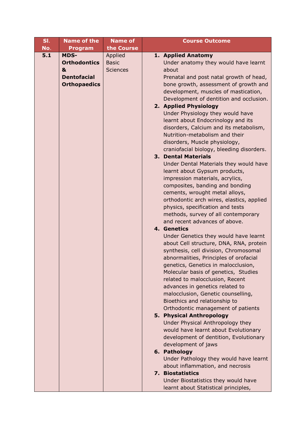| SI. | <b>Name of the</b>  | <b>Name of</b>  | <b>Course Outcome</b>                                                      |
|-----|---------------------|-----------------|----------------------------------------------------------------------------|
| No. | <b>Program</b>      | the Course      |                                                                            |
| 5.1 | <b>MDS-</b>         | Applied         | 1. Applied Anatomy                                                         |
|     | <b>Orthodontics</b> | <b>Basic</b>    | Under anatomy they would have learnt                                       |
|     | &                   | <b>Sciences</b> | about                                                                      |
|     | <b>Dentofacial</b>  |                 | Prenatal and post natal growth of head,                                    |
|     | <b>Orthopaedics</b> |                 | bone growth, assessment of growth and                                      |
|     |                     |                 | development, muscles of mastication,                                       |
|     |                     |                 | Development of dentition and occlusion.                                    |
|     |                     |                 | 2. Applied Physiology                                                      |
|     |                     |                 | Under Physiology they would have                                           |
|     |                     |                 | learnt about Endocrinology and its                                         |
|     |                     |                 | disorders, Calcium and its metabolism,                                     |
|     |                     |                 | Nutrition-metabolism and their                                             |
|     |                     |                 | disorders, Muscle physiology,<br>craniofacial biology, bleeding disorders. |
|     |                     |                 | <b>3. Dental Materials</b>                                                 |
|     |                     |                 | Under Dental Materials they would have                                     |
|     |                     |                 | learnt about Gypsum products,                                              |
|     |                     |                 | impression materials, acrylics,                                            |
|     |                     |                 | composites, banding and bonding                                            |
|     |                     |                 | cements, wrought metal alloys,                                             |
|     |                     |                 | orthodontic arch wires, elastics, applied                                  |
|     |                     |                 | physics, specification and tests                                           |
|     |                     |                 | methods, survey of all contemporary                                        |
|     |                     |                 | and recent advances of above.                                              |
|     |                     |                 | 4. Genetics                                                                |
|     |                     |                 | Under Genetics they would have learnt                                      |
|     |                     |                 | about Cell structure, DNA, RNA, protein                                    |
|     |                     |                 | synthesis, cell division, Chromosomal                                      |
|     |                     |                 | abnormalities, Principles of orofacial                                     |
|     |                     |                 | genetics, Genetics in malocclusion,                                        |
|     |                     |                 | Molecular basis of genetics, Studies                                       |
|     |                     |                 | related to malocclusion, Recent                                            |
|     |                     |                 | advances in genetics related to                                            |
|     |                     |                 | malocclusion, Genetic counselling,<br>Bioethics and relationship to        |
|     |                     |                 | Orthodontic management of patients                                         |
|     |                     |                 | 5. Physical Anthropology                                                   |
|     |                     |                 | Under Physical Anthropology they                                           |
|     |                     |                 | would have learnt about Evolutionary                                       |
|     |                     |                 | development of dentition, Evolutionary                                     |
|     |                     |                 | development of jaws                                                        |
|     |                     |                 | 6. Pathology                                                               |
|     |                     |                 | Under Pathology they would have learnt                                     |
|     |                     |                 | about inflammation, and necrosis                                           |
|     |                     |                 | 7. Biostatistics                                                           |
|     |                     |                 | Under Biostatistics they would have                                        |
|     |                     |                 | learnt about Statistical principles,                                       |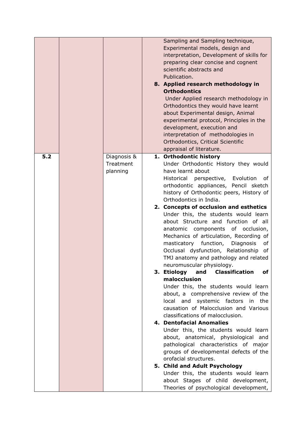|     |                                      | Sampling and Sampling technique,<br>Experimental models, design and<br>interpretation, Development of skills for<br>preparing clear concise and cognent<br>scientific abstracts and<br>Publication.<br>8. Applied research methodology in<br><b>Orthodontics</b><br>Under Applied research methodology in<br>Orthodontics they would have learnt<br>about Experimental design, Animal<br>experimental protocol, Principles in the<br>development, execution and<br>interpretation of methodologies in<br>Orthodontics, Critical Scientific<br>appraisal of literature.                                                                                                                                                                                                                                                                                                                                                                                                                                                                                                                                                                                                                                                                                                             |
|-----|--------------------------------------|------------------------------------------------------------------------------------------------------------------------------------------------------------------------------------------------------------------------------------------------------------------------------------------------------------------------------------------------------------------------------------------------------------------------------------------------------------------------------------------------------------------------------------------------------------------------------------------------------------------------------------------------------------------------------------------------------------------------------------------------------------------------------------------------------------------------------------------------------------------------------------------------------------------------------------------------------------------------------------------------------------------------------------------------------------------------------------------------------------------------------------------------------------------------------------------------------------------------------------------------------------------------------------|
| 5.2 | Diagnosis &<br>Treatment<br>planning | 1. Orthodontic history<br>Under Orthodontic History they would<br>have learnt about<br>Historical perspective, Evolution<br>of<br>orthodontic appliances, Pencil sketch<br>history of Orthodontic peers, History of<br>Orthodontics in India.<br>2. Concepts of occlusion and esthetics<br>Under this, the students would learn<br>about Structure and function of all<br>anatomic components of occlusion,<br>Mechanics of articulation, Recording of<br>masticatory function,<br>Diagnosis<br>of<br>Occlusal dysfunction, Relationship of<br>TMJ anatomy and pathology and related<br>neuromuscular physiology.<br><b>Classification</b><br>3. Etiology<br>and<br>οf<br>malocclusion<br>Under this, the students would learn<br>about, a comprehensive review of the<br>local and<br>systemic factors<br>the<br>in<br>causation of Malocclusion and Various<br>classifications of malocclusion.<br>4. Dentofacial Anomalies<br>Under this, the students would learn<br>about, anatomical, physiological and<br>pathological characteristics of major<br>groups of developmental defects of the<br>orofacial structures.<br>5. Child and Adult Psychology<br>Under this, the students would learn<br>about Stages of child development,<br>Theories of psychological development, |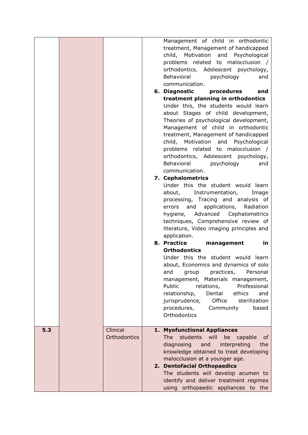|     |                          | Management of child in orthodontic<br>treatment, Management of handicapped<br>child, Motivation<br>and<br>Psychological<br>problems related to malocclusion /<br>orthodontics, Adolescent psychology,<br>Behavioral<br>psychology<br>and<br>communication.<br>6. Diagnostic<br>procedures<br>and<br>treatment planning in orthodontics<br>Under this, the students would learn<br>about Stages of child development,<br>Theories of psychological development,<br>Management of child in orthodontic<br>treatment, Management of handicapped<br>child, Motivation<br>and<br>Psychological<br>problems related to malocclusion /<br>orthodontics, Adolescent psychology,<br>Behavioral<br>psychology<br>and<br>communication.<br>7. Cephalometrics<br>Under this the student would learn<br>about,<br>Instrumentation,<br>Image<br>processing, Tracing and analysis of<br>applications,<br>and<br>Radiation<br>errors<br>Advanced<br>hygiene,<br>Cephalometrics<br>techniques, Comprehensive review of<br>literature, Video imaging principles and<br>application.<br>8. Practice<br>management<br>in<br><b>Orthodontics</b><br>Under this the student would learn<br>about, Economics and dynamics of solo<br>practices,<br>and<br>group<br>Personal<br>management, Materials management,<br>Public<br>Professional<br>relations,<br>relationship,<br>Dental<br>ethics<br>and |
|-----|--------------------------|-------------------------------------------------------------------------------------------------------------------------------------------------------------------------------------------------------------------------------------------------------------------------------------------------------------------------------------------------------------------------------------------------------------------------------------------------------------------------------------------------------------------------------------------------------------------------------------------------------------------------------------------------------------------------------------------------------------------------------------------------------------------------------------------------------------------------------------------------------------------------------------------------------------------------------------------------------------------------------------------------------------------------------------------------------------------------------------------------------------------------------------------------------------------------------------------------------------------------------------------------------------------------------------------------------------------------------------------------------------------------------|
|     |                          | Office<br>jurisprudence,<br>sterilization<br>procedures,<br>Community<br>based<br>Orthodontics                                                                                                                                                                                                                                                                                                                                                                                                                                                                                                                                                                                                                                                                                                                                                                                                                                                                                                                                                                                                                                                                                                                                                                                                                                                                                |
| 5.3 | Clinical<br>Orthodontics | 1. Myofunctional Appliances<br><b>The</b><br>students<br>will<br>be<br>capable<br>0f<br>diagnosing<br>and<br>interpreting<br>the<br>knowledge obtained to treat developing<br>malocclusion at a younger age.<br>2. Dentofacial Orthopaedics<br>The students will develop acumen to<br>identify and deliver treatment regimes<br>using orthopaedic appliances to the                                                                                                                                                                                                                                                                                                                                                                                                                                                                                                                                                                                                                                                                                                                                                                                                                                                                                                                                                                                                           |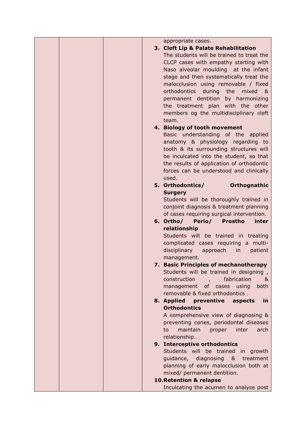| appropriate cases.                                                           |
|------------------------------------------------------------------------------|
| 3. Cleft Lip & Palate Rehabilitation                                         |
| The students will be trained to treat the                                    |
| CLCP cases with empathy starting with                                        |
| Naso alveolar moulding at the infant                                         |
| stage and then systematically treat the                                      |
| malocclusion using removable / fixed                                         |
| orthodontics<br>during the<br>mixed &                                        |
| permanent dentition by harmonizing                                           |
| the treatment plan with the other                                            |
| members og the multidisciplinary cleft                                       |
| team.                                                                        |
| 4. Biology of tooth movement                                                 |
| Basic understanding of the applied                                           |
| anatomy & physiology regarding to                                            |
| tooth & its surrounding structures will                                      |
| be inculcated into the student, so that                                      |
| the results of application of orthodontic                                    |
| forces can be understood and clinically                                      |
| used.                                                                        |
| Orthognathic<br>5. Orthodontics/                                             |
| <b>Surgery</b>                                                               |
| Students will be thoroughly trained in                                       |
| conjoint diagnosis & treatment planning                                      |
| of cases requiring surgical intervention.                                    |
| Perio/<br>6. Ortho/<br><b>Prostho</b><br>inter                               |
| relationship                                                                 |
| Students will be trained in treating<br>complicated cases requiring a multi- |
| disciplinary<br>approach<br>in<br>patient                                    |
| management.                                                                  |
| 7. Basic Principles of mechanotherapy                                        |
| Students will be trained in designing,                                       |
| construction<br>fabrication<br>&                                             |
| management of cases<br>using<br>both                                         |
| removable & fixed orthodontics.                                              |
| 8. Applied<br>preventive<br>aspects<br><u>in</u>                             |
| <b>Orthodontics</b>                                                          |
| A comprehensive view of diagnosing &                                         |
| preventing caries, periodontal diseases                                      |
| maintain<br>proper<br>inter<br>arch<br>to                                    |
| relationship.                                                                |
| 9. Interceptive orthodontics                                                 |
| Students will be trained in growth                                           |
| guidance, diagnosing & treatment                                             |
| planning of early malocclusion both at                                       |
| mixed/ permanent dentition.                                                  |
|                                                                              |
| 10. Retention & relapse                                                      |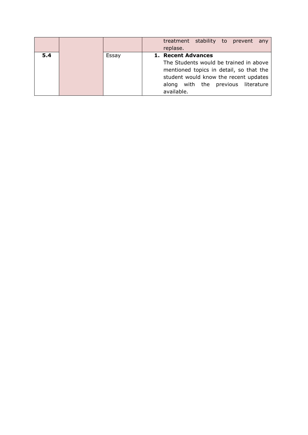|     |       | treatment stability to prevent<br>any                                                                                                                                          |
|-----|-------|--------------------------------------------------------------------------------------------------------------------------------------------------------------------------------|
|     |       | replase.                                                                                                                                                                       |
| 5.4 | Essay | 1. Recent Advances                                                                                                                                                             |
|     |       | The Students would be trained in above<br>mentioned topics in detail, so that the<br>student would know the recent updates<br>along with the previous literature<br>available. |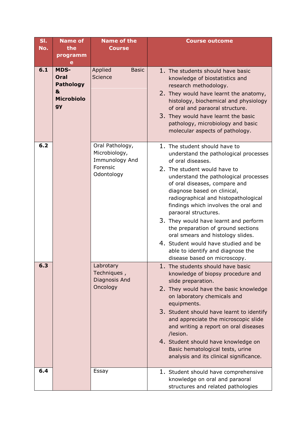| SI. | <b>Name of</b>                                                                 | <b>Name of the</b>                                                           | <b>Course outcome</b>                                                                                                                                                                                                                                                                                                                                                                                                                                                                                                                                                         |
|-----|--------------------------------------------------------------------------------|------------------------------------------------------------------------------|-------------------------------------------------------------------------------------------------------------------------------------------------------------------------------------------------------------------------------------------------------------------------------------------------------------------------------------------------------------------------------------------------------------------------------------------------------------------------------------------------------------------------------------------------------------------------------|
| No. | the                                                                            | <b>Course</b>                                                                |                                                                                                                                                                                                                                                                                                                                                                                                                                                                                                                                                                               |
|     | programm<br>е                                                                  |                                                                              |                                                                                                                                                                                                                                                                                                                                                                                                                                                                                                                                                                               |
| 6.1 | <b>MDS-</b><br>Oral<br><b>Pathology</b><br>&<br><b>Microbiolo</b><br><b>gy</b> | Applied<br><b>Basic</b><br>Science                                           | 1. The students should have basic<br>knowledge of biostatistics and<br>research methodology.<br>2. They would have learnt the anatomy,<br>histology, biochemical and physiology<br>of oral and paraoral structure.<br>3. They would have learnt the basic<br>pathology, microbiology and basic<br>molecular aspects of pathology.                                                                                                                                                                                                                                             |
| 6.2 |                                                                                | Oral Pathology,<br>Microbiology,<br>Immunology And<br>Forensic<br>Odontology | 1. The student should have to<br>understand the pathological processes<br>of oral diseases.<br>2. The student would have to<br>understand the pathological processes<br>of oral diseases, compare and<br>diagnose based on clinical,<br>radiographical and histopathological<br>findings which involves the oral and<br>paraoral structures.<br>3. They would have learnt and perform<br>the preparation of ground sections<br>oral smears and histology slides.<br>4. Student would have studied and be<br>able to identify and diagnose the<br>disease based on microscopy. |
| 6.3 |                                                                                | Labrotary<br>Techniques,<br>Diagnosis And<br>Oncology                        | The students should have basic<br>knowledge of biopsy procedure and<br>slide preparation.<br>2. They would have the basic knowledge<br>on laboratory chemicals and<br>equipments.<br>3. Student should have learnt to identify<br>and appreciate the microscopic slide<br>and writing a report on oral diseases<br>/lesion.<br>4. Student should have knowledge on<br>Basic hematological tests, urine<br>analysis and its clinical significance.                                                                                                                             |
| 6.4 |                                                                                | Essay                                                                        | 1. Student should have comprehensive<br>knowledge on oral and paraoral<br>structures and related pathologies                                                                                                                                                                                                                                                                                                                                                                                                                                                                  |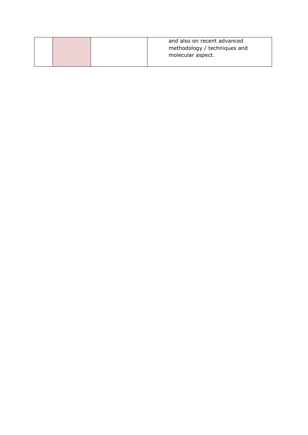|  | and also on recent advanced  |
|--|------------------------------|
|  | methodology / techniques and |
|  | molecular aspect.            |
|  |                              |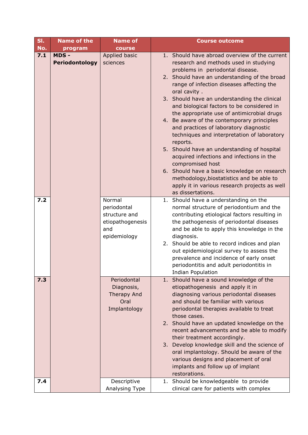| SI. | <b>Name of the</b>     | <b>Name of</b>                                                                    | <b>Course outcome</b>                                                                                                                                                                                                                                                                                                                                                                                                                                                                                                                                                                                                                                                                                                                                                                                |  |  |
|-----|------------------------|-----------------------------------------------------------------------------------|------------------------------------------------------------------------------------------------------------------------------------------------------------------------------------------------------------------------------------------------------------------------------------------------------------------------------------------------------------------------------------------------------------------------------------------------------------------------------------------------------------------------------------------------------------------------------------------------------------------------------------------------------------------------------------------------------------------------------------------------------------------------------------------------------|--|--|
| No. | program                | course                                                                            |                                                                                                                                                                                                                                                                                                                                                                                                                                                                                                                                                                                                                                                                                                                                                                                                      |  |  |
| 7.1 | MDS-<br>Periodontology | Applied basic<br>sciences                                                         | 1. Should have abroad overview of the current<br>research and methods used in studying<br>problems in periodontal disease.<br>2. Should have an understanding of the broad<br>range of infection diseases affecting the<br>oral cavity.<br>3. Should have an understanding the clinical<br>and biological factors to be considered in<br>the appropriate use of antimicrobial drugs<br>4. Be aware of the contemporary principles<br>and practices of laboratory diagnostic<br>techniques and interpretation of laboratory<br>reports.<br>5. Should have an understanding of hospital<br>acquired infections and infections in the<br>compromised host<br>6. Should have a basic knowledge on research<br>methodology, biostatistics and be able to<br>apply it in various research projects as well |  |  |
| 7.2 |                        | Normal<br>periodontal<br>structure and<br>etiopathogenesis<br>and<br>epidemiology | as dissertations.<br>1. Should have a understanding on the<br>normal structure of periodontium and the<br>contributing etiological factors resulting in<br>the pathogenesis of periodontal diseases<br>and be able to apply this knowledge in the<br>diagnosis.<br>2. Should be able to record indices and plan<br>out epidemiological survey to assess the<br>prevalence and incidence of early onset<br>periodontitis and adult periodontitis in<br><b>Indian Population</b>                                                                                                                                                                                                                                                                                                                       |  |  |
| 7.3 |                        | Periodontal<br>Diagnosis,<br>Therapy And<br>Oral<br>Implantology                  | 1. Should have a sound knowledge of the<br>etiopathogenesis and apply it in<br>diagnosing various periodontal diseases<br>and should be familiar with various<br>periodontal therapies available to treat<br>those cases.<br>2. Should have an updated knowledge on the<br>recent advancements and be able to modify<br>their treatment accordingly.<br>3. Develop knowledge skill and the science of<br>oral implantology. Should be aware of the<br>various designs and placement of oral<br>implants and follow up of implant<br>restorations.                                                                                                                                                                                                                                                    |  |  |
| 7.4 |                        | Descriptive<br>Analysing Type                                                     | 1. Should be knowledgeable to provide<br>clinical care for patients with complex                                                                                                                                                                                                                                                                                                                                                                                                                                                                                                                                                                                                                                                                                                                     |  |  |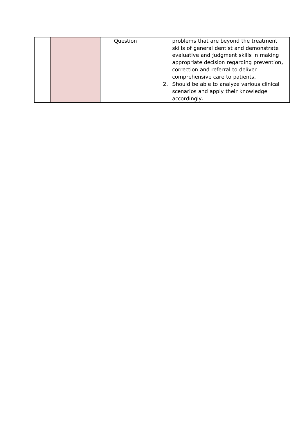|  | Question | problems that are beyond the treatment        |
|--|----------|-----------------------------------------------|
|  |          | skills of general dentist and demonstrate     |
|  |          | evaluative and judgment skills in making      |
|  |          | appropriate decision regarding prevention,    |
|  |          | correction and referral to deliver            |
|  |          | comprehensive care to patients.               |
|  |          | 2. Should be able to analyze various clinical |
|  |          | scenarios and apply their knowledge           |
|  |          | accordingly.                                  |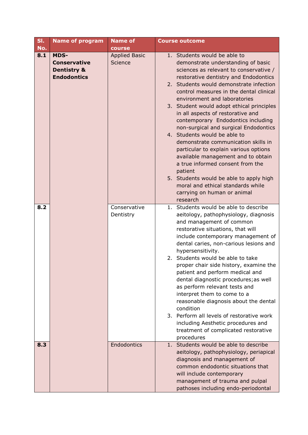| SI. | <b>Name of program</b>                                                             | <b>Name of</b>                  | <b>Course outcome</b>                                                                                                                                                                                                                                                                                                                                                                                                                                                                                                                                                                                                                                                             |
|-----|------------------------------------------------------------------------------------|---------------------------------|-----------------------------------------------------------------------------------------------------------------------------------------------------------------------------------------------------------------------------------------------------------------------------------------------------------------------------------------------------------------------------------------------------------------------------------------------------------------------------------------------------------------------------------------------------------------------------------------------------------------------------------------------------------------------------------|
| No. |                                                                                    | course                          |                                                                                                                                                                                                                                                                                                                                                                                                                                                                                                                                                                                                                                                                                   |
| 8.1 | <b>MDS-</b><br><b>Conservative</b><br><b>Dentistry &amp;</b><br><b>Endodontics</b> | <b>Applied Basic</b><br>Science | 1. Students would be able to<br>demonstrate understanding of basic<br>sciences as relevant to conservative /<br>restorative dentistry and Endodontics<br>2. Students would demonstrate infection<br>control measures in the dental clinical<br>environment and laboratories<br>3. Student would adopt ethical principles<br>in all aspects of restorative and<br>contemporary Endodontics including<br>non-surgical and surgical Endodontics<br>4. Students would be able to<br>demonstrate communication skills in<br>particular to explain various options<br>available management and to obtain<br>a true informed consent from the<br>patient                                 |
|     |                                                                                    |                                 | 5. Students would be able to apply high<br>moral and ethical standards while<br>carrying on human or animal<br>research                                                                                                                                                                                                                                                                                                                                                                                                                                                                                                                                                           |
| 8.2 |                                                                                    | Conservative<br>Dentistry       | 1. Students would be able to describe<br>aeitology, pathophysiology, diagnosis<br>and management of common<br>restorative situations, that will<br>include contemporary management of<br>dental caries, non-carious lesions and<br>hypersensitivity.<br>Students would be able to take<br>2.<br>proper chair side history, examine the<br>patient and perform medical and<br>dental diagnostic procedures; as well<br>as perform relevant tests and<br>interpret them to come to a<br>reasonable diagnosis about the dental<br>condition<br>3. Perform all levels of restorative work<br>including Aesthetic procedures and<br>treatment of complicated restorative<br>procedures |
| 8.3 |                                                                                    | Endodontics                     | 1. Students would be able to describe<br>aeitology, pathophysiology, periapical<br>diagnosis and management of<br>common endodontic situations that<br>will include contemporary<br>management of trauma and pulpal<br>pathoses including endo-periodontal                                                                                                                                                                                                                                                                                                                                                                                                                        |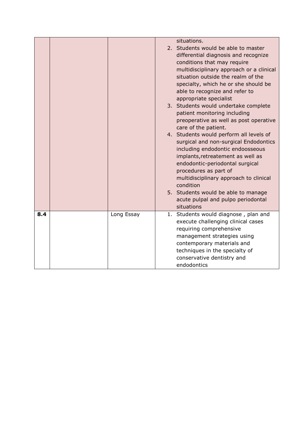|     |            | situations.<br>2. Students would be able to master<br>differential diagnosis and recognize<br>conditions that may require<br>multidisciplinary approach or a clinical<br>situation outside the realm of the<br>specialty, which he or she should be<br>able to recognize and refer to<br>appropriate specialist<br>3. Students would undertake complete<br>patient monitoring including<br>preoperative as well as post operative<br>care of the patient.<br>4. Students would perform all levels of<br>surgical and non-surgical Endodontics<br>including endodontic endoosseous<br>implants, retreatement as well as<br>endodontic-periodontal surgical<br>procedures as part of<br>multidisciplinary approach to clinical<br>condition<br>5. Students would be able to manage<br>acute pulpal and pulpo periodontal<br>situations |
|-----|------------|--------------------------------------------------------------------------------------------------------------------------------------------------------------------------------------------------------------------------------------------------------------------------------------------------------------------------------------------------------------------------------------------------------------------------------------------------------------------------------------------------------------------------------------------------------------------------------------------------------------------------------------------------------------------------------------------------------------------------------------------------------------------------------------------------------------------------------------|
| 8.4 | Long Essay | 1. Students would diagnose, plan and<br>execute challenging clinical cases<br>requiring comprehensive<br>management strategies using<br>contemporary materials and<br>techniques in the specialty of<br>conservative dentistry and<br>endodontics                                                                                                                                                                                                                                                                                                                                                                                                                                                                                                                                                                                    |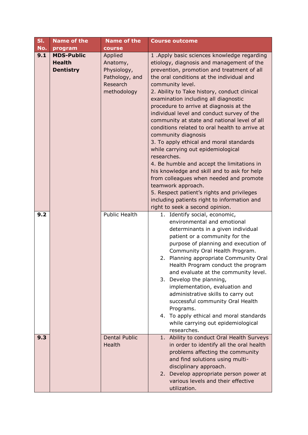| SI. | <b>Name of the</b>                                     | <b>Name of the</b>                                                              | <b>Course outcome</b>                                                                                                                                                                                                                                                                                                                                                                                                                                                                                                                                                                                                                                                                                                                                                                                                                                                                                           |
|-----|--------------------------------------------------------|---------------------------------------------------------------------------------|-----------------------------------------------------------------------------------------------------------------------------------------------------------------------------------------------------------------------------------------------------------------------------------------------------------------------------------------------------------------------------------------------------------------------------------------------------------------------------------------------------------------------------------------------------------------------------------------------------------------------------------------------------------------------------------------------------------------------------------------------------------------------------------------------------------------------------------------------------------------------------------------------------------------|
| No. | program                                                | course                                                                          |                                                                                                                                                                                                                                                                                                                                                                                                                                                                                                                                                                                                                                                                                                                                                                                                                                                                                                                 |
| 9.1 | <b>MDS-Public</b><br><b>Health</b><br><b>Dentistry</b> | Applied<br>Anatomy,<br>Physiology,<br>Pathology, and<br>Research<br>methodology | 1 .Apply basic sciences knowledge regarding<br>etiology, diagnosis and management of the<br>prevention, promotion and treatment of all<br>the oral conditions at the individual and<br>community level.<br>2. Ability to Take history, conduct clinical<br>examination including all diagnostic<br>procedure to arrive at diagnosis at the<br>individual level and conduct survey of the<br>community at state and national level of all<br>conditions related to oral health to arrive at<br>community diagnosis<br>3. To apply ethical and moral standards<br>while carrying out epidemiological<br>researches.<br>4. Be humble and accept the limitations in<br>his knowledge and skill and to ask for help<br>from colleagues when needed and promote<br>teamwork approach.<br>5. Respect patient's rights and privileges<br>including patients right to information and<br>right to seek a second opinion. |
| 9.2 |                                                        | <b>Public Health</b>                                                            | 1. Identify social, economic,<br>environmental and emotional<br>determinants in a given individual<br>patient or a community for the<br>purpose of planning and execution of<br>Community Oral Health Program.<br>2. Planning appropriate Community Oral<br>Health Program conduct the program<br>and evaluate at the community level.<br>3. Develop the planning,<br>implementation, evaluation and<br>administrative skills to carry out<br>successful community Oral Health<br>Programs.<br>4. To apply ethical and moral standards<br>while carrying out epidemiological<br>researches.                                                                                                                                                                                                                                                                                                                     |
| 9.3 |                                                        | <b>Dental Public</b><br>Health                                                  | 1. Ability to conduct Oral Health Surveys<br>in order to identify all the oral health<br>problems affecting the community<br>and find solutions using multi-<br>disciplinary approach.<br>2. Develop appropriate person power at<br>various levels and their effective<br>utilization.                                                                                                                                                                                                                                                                                                                                                                                                                                                                                                                                                                                                                          |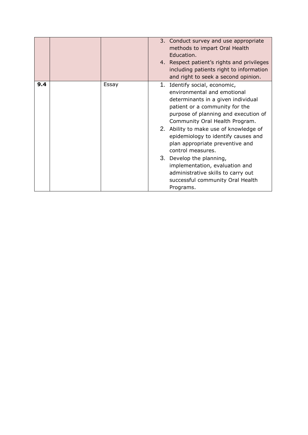|     |       | 3. Conduct survey and use appropriate<br>methods to impart Oral Health<br>Education.<br>4. Respect patient's rights and privileges<br>including patients right to information<br>and right to seek a second opinion.                                                                                                                                                                                                                                                                                         |
|-----|-------|--------------------------------------------------------------------------------------------------------------------------------------------------------------------------------------------------------------------------------------------------------------------------------------------------------------------------------------------------------------------------------------------------------------------------------------------------------------------------------------------------------------|
| 9.4 | Essay | 1. Identify social, economic,<br>environmental and emotional<br>determinants in a given individual<br>patient or a community for the<br>purpose of planning and execution of<br>Community Oral Health Program.<br>2. Ability to make use of knowledge of<br>epidemiology to identify causes and<br>plan appropriate preventive and<br>control measures.<br>3. Develop the planning,<br>implementation, evaluation and<br>administrative skills to carry out<br>successful community Oral Health<br>Programs. |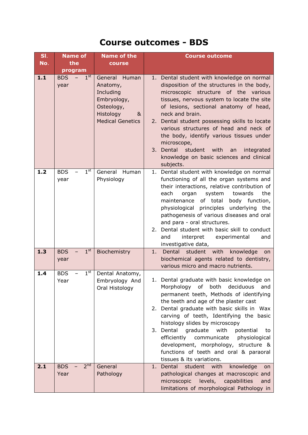## **Course outcomes - BDS**

| SI. | <b>Name of</b>                        | <b>Name of the</b>                                                                                               | <b>Course outcome</b>                                                                                                                                                                                                                                                                                                                                                                                                                                                                                       |  |  |
|-----|---------------------------------------|------------------------------------------------------------------------------------------------------------------|-------------------------------------------------------------------------------------------------------------------------------------------------------------------------------------------------------------------------------------------------------------------------------------------------------------------------------------------------------------------------------------------------------------------------------------------------------------------------------------------------------------|--|--|
| No. | the<br>program                        | course                                                                                                           |                                                                                                                                                                                                                                                                                                                                                                                                                                                                                                             |  |  |
| 1.1 | 1 <sup>st</sup><br><b>BDS</b><br>year | General Human<br>Anatomy,<br>Including<br>Embryology,<br>Osteology,<br>Histology<br>&<br><b>Medical Genetics</b> | 1. Dental student with knowledge on normal<br>disposition of the structures in the body,<br>microscopic structure of the various<br>tissues, nervous system to locate the site<br>of lesions, sectional anatomy of head,<br>neck and brain.<br>2. Dental student possessing skills to locate<br>various structures of head and neck of<br>the body, identify various tissues under<br>microscope,<br>3. Dental<br>student with<br>integrated<br>an<br>knowledge on basic sciences and clinical<br>subjects. |  |  |
| 1.2 | $1^{\rm st}$<br><b>BDS</b><br>year    | General Human<br>Physiology                                                                                      | 1. Dental student with knowledge on normal<br>functioning of all the organ systems and<br>their interactions, relative contribution of<br>the<br>each<br>organ<br>system<br>towards<br>body function,<br>maintenance<br>of total<br>physiological principles underlying the<br>pathogenesis of various diseases and oral<br>and para - oral structures.<br>Dental student with basic skill to conduct<br>2.<br>interpret<br>and<br>experimental<br>and<br>investigative data,                               |  |  |
| 1.3 | 1 <sup>st</sup><br><b>BDS</b><br>year | Biochemistry                                                                                                     | 1<br>Dental<br>student with<br>knowledge<br><b>on</b><br>biochemical agents related to dentistry,<br>various micro and macro nutrients.                                                                                                                                                                                                                                                                                                                                                                     |  |  |
| 1.4 | $1^{\rm st}$<br><b>BDS</b><br>Year    | Dental Anatomy,<br>Embryology And<br>Oral Histology                                                              | 1. Dental graduate with basic knowledge on<br>Morphology of both deciduous<br>and<br>permanent teeth, Methods of identifying<br>the teeth and age of the plaster cast<br>2. Dental graduate with basic skills in Wax<br>carving of teeth, Identifying the basic<br>histology slides by microscopy<br>3. Dental graduate with<br>potential<br>to<br>efficiently communicate<br>physiological<br>development, morphology, structure &<br>functions of teeth and oral & paraoral<br>tissues & its variations.  |  |  |
| 2.1 | 2 <sup>nd</sup><br><b>BDS</b><br>Year | General<br>Pathology                                                                                             | 1. Dental student with knowledge<br>on<br>pathological changes at macroscopic and<br>microscopic levels, capabilities<br>and<br>limitations of morphological Pathology in                                                                                                                                                                                                                                                                                                                                   |  |  |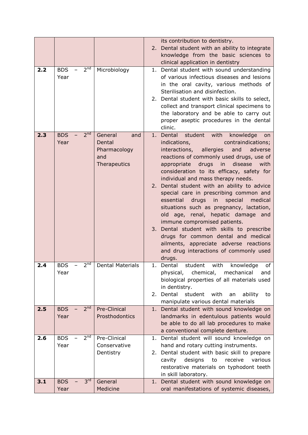| 2. Dental student with an ability to integrate<br>knowledge from the basic sciences to<br>clinical application in dentistry<br>2 <sup>nd</sup><br>2.2<br>Microbiology<br>1. Dental student with sound understanding<br><b>BDS</b><br>Year<br>of various infectious diseases and lesions<br>in the oral cavity, various methods of<br>Sterilisation and disinfection.<br>2. Dental student with basic skills to select,<br>collect and transport clinical specimens to<br>the laboratory and be able to carry out<br>proper aseptic procedures in the dental<br>clinic.<br>2 <sup>nd</sup><br>2.3<br><b>BDS</b><br>General<br>1. Dental<br>student with<br>knowledge<br>and<br>on<br>Year<br>contraindications;<br>Dental<br>indications,<br>Pharmacology<br>interactions, allergies<br>and<br>adverse<br>reactions of commonly used drugs, use of<br>and<br>drugs in<br>disease<br>with<br>Therapeutics<br>appropriate<br>consideration to its efficacy, safety for<br>individual and mass therapy needs.<br>2. Dental student with an ability to advice<br>special care in prescribing common and<br>essential drugs in<br>special<br>medical<br>situations such as pregnancy, lactation,<br>old age, renal, hepatic damage and<br>immune compromised patients.<br>3. Dental student with skills to prescribe<br>drugs for common dental and medical<br>ailments, appreciate adverse reactions<br>and drug interactions of commonly used<br>drugs.<br>2 <sup>nd</sup><br>2.4<br><b>BDS</b><br><b>Dental Materials</b><br>1. Dental<br>student<br>with<br>of<br>knowledge<br>Year<br>chemical,<br>physical,<br>mechanical<br>and<br>biological properties of all materials used<br>in dentistry.<br>Dental<br>student<br>with<br>2.<br>ability<br>an<br>to<br>manipulate various dental materials<br>2 <sup>nd</sup><br>Pre-Clinical<br>2.5<br><b>BDS</b><br>1. Dental student with sound knowledge on<br>Year<br>Prosthodontics<br>landmarks in edentulous patients would<br>be able to do all lab procedures to make<br>a conventional complete denture.<br>2 <sup>nd</sup><br>2.6<br><b>BDS</b><br>Pre-Clinical<br>Dental student will sound knowledge on<br>1.<br>Year<br>Conservative<br>hand and rotary cutting instruments.<br>Dentistry<br>2. Dental student with basic skill to prepare<br>designs<br>cavity<br>to<br>receive<br>various<br>restorative materials on typhodont teeth<br>in skill laboratory.<br>3 <sup>rd</sup><br>3.1<br>General<br><b>BDS</b><br>Dental student with sound knowledge on<br>1.<br>Medicine<br>oral manifestations of systemic diseases,<br>Year |  |  |  | its contribution to dentistry. |
|-------------------------------------------------------------------------------------------------------------------------------------------------------------------------------------------------------------------------------------------------------------------------------------------------------------------------------------------------------------------------------------------------------------------------------------------------------------------------------------------------------------------------------------------------------------------------------------------------------------------------------------------------------------------------------------------------------------------------------------------------------------------------------------------------------------------------------------------------------------------------------------------------------------------------------------------------------------------------------------------------------------------------------------------------------------------------------------------------------------------------------------------------------------------------------------------------------------------------------------------------------------------------------------------------------------------------------------------------------------------------------------------------------------------------------------------------------------------------------------------------------------------------------------------------------------------------------------------------------------------------------------------------------------------------------------------------------------------------------------------------------------------------------------------------------------------------------------------------------------------------------------------------------------------------------------------------------------------------------------------------------------------------------------------------------------------------------------------------------------------------------------------------------------------------------------------------------------------------------------------------------------------------------------------------------------------------------------------------------------------------------------------------------------------------------------------------------------------------------------------------------------------------------------------------------------------------------------------|--|--|--|--------------------------------|
|                                                                                                                                                                                                                                                                                                                                                                                                                                                                                                                                                                                                                                                                                                                                                                                                                                                                                                                                                                                                                                                                                                                                                                                                                                                                                                                                                                                                                                                                                                                                                                                                                                                                                                                                                                                                                                                                                                                                                                                                                                                                                                                                                                                                                                                                                                                                                                                                                                                                                                                                                                                           |  |  |  |                                |
|                                                                                                                                                                                                                                                                                                                                                                                                                                                                                                                                                                                                                                                                                                                                                                                                                                                                                                                                                                                                                                                                                                                                                                                                                                                                                                                                                                                                                                                                                                                                                                                                                                                                                                                                                                                                                                                                                                                                                                                                                                                                                                                                                                                                                                                                                                                                                                                                                                                                                                                                                                                           |  |  |  |                                |
|                                                                                                                                                                                                                                                                                                                                                                                                                                                                                                                                                                                                                                                                                                                                                                                                                                                                                                                                                                                                                                                                                                                                                                                                                                                                                                                                                                                                                                                                                                                                                                                                                                                                                                                                                                                                                                                                                                                                                                                                                                                                                                                                                                                                                                                                                                                                                                                                                                                                                                                                                                                           |  |  |  |                                |
|                                                                                                                                                                                                                                                                                                                                                                                                                                                                                                                                                                                                                                                                                                                                                                                                                                                                                                                                                                                                                                                                                                                                                                                                                                                                                                                                                                                                                                                                                                                                                                                                                                                                                                                                                                                                                                                                                                                                                                                                                                                                                                                                                                                                                                                                                                                                                                                                                                                                                                                                                                                           |  |  |  |                                |
|                                                                                                                                                                                                                                                                                                                                                                                                                                                                                                                                                                                                                                                                                                                                                                                                                                                                                                                                                                                                                                                                                                                                                                                                                                                                                                                                                                                                                                                                                                                                                                                                                                                                                                                                                                                                                                                                                                                                                                                                                                                                                                                                                                                                                                                                                                                                                                                                                                                                                                                                                                                           |  |  |  |                                |
|                                                                                                                                                                                                                                                                                                                                                                                                                                                                                                                                                                                                                                                                                                                                                                                                                                                                                                                                                                                                                                                                                                                                                                                                                                                                                                                                                                                                                                                                                                                                                                                                                                                                                                                                                                                                                                                                                                                                                                                                                                                                                                                                                                                                                                                                                                                                                                                                                                                                                                                                                                                           |  |  |  |                                |
|                                                                                                                                                                                                                                                                                                                                                                                                                                                                                                                                                                                                                                                                                                                                                                                                                                                                                                                                                                                                                                                                                                                                                                                                                                                                                                                                                                                                                                                                                                                                                                                                                                                                                                                                                                                                                                                                                                                                                                                                                                                                                                                                                                                                                                                                                                                                                                                                                                                                                                                                                                                           |  |  |  |                                |
|                                                                                                                                                                                                                                                                                                                                                                                                                                                                                                                                                                                                                                                                                                                                                                                                                                                                                                                                                                                                                                                                                                                                                                                                                                                                                                                                                                                                                                                                                                                                                                                                                                                                                                                                                                                                                                                                                                                                                                                                                                                                                                                                                                                                                                                                                                                                                                                                                                                                                                                                                                                           |  |  |  |                                |
|                                                                                                                                                                                                                                                                                                                                                                                                                                                                                                                                                                                                                                                                                                                                                                                                                                                                                                                                                                                                                                                                                                                                                                                                                                                                                                                                                                                                                                                                                                                                                                                                                                                                                                                                                                                                                                                                                                                                                                                                                                                                                                                                                                                                                                                                                                                                                                                                                                                                                                                                                                                           |  |  |  |                                |
|                                                                                                                                                                                                                                                                                                                                                                                                                                                                                                                                                                                                                                                                                                                                                                                                                                                                                                                                                                                                                                                                                                                                                                                                                                                                                                                                                                                                                                                                                                                                                                                                                                                                                                                                                                                                                                                                                                                                                                                                                                                                                                                                                                                                                                                                                                                                                                                                                                                                                                                                                                                           |  |  |  |                                |
|                                                                                                                                                                                                                                                                                                                                                                                                                                                                                                                                                                                                                                                                                                                                                                                                                                                                                                                                                                                                                                                                                                                                                                                                                                                                                                                                                                                                                                                                                                                                                                                                                                                                                                                                                                                                                                                                                                                                                                                                                                                                                                                                                                                                                                                                                                                                                                                                                                                                                                                                                                                           |  |  |  |                                |
|                                                                                                                                                                                                                                                                                                                                                                                                                                                                                                                                                                                                                                                                                                                                                                                                                                                                                                                                                                                                                                                                                                                                                                                                                                                                                                                                                                                                                                                                                                                                                                                                                                                                                                                                                                                                                                                                                                                                                                                                                                                                                                                                                                                                                                                                                                                                                                                                                                                                                                                                                                                           |  |  |  |                                |
|                                                                                                                                                                                                                                                                                                                                                                                                                                                                                                                                                                                                                                                                                                                                                                                                                                                                                                                                                                                                                                                                                                                                                                                                                                                                                                                                                                                                                                                                                                                                                                                                                                                                                                                                                                                                                                                                                                                                                                                                                                                                                                                                                                                                                                                                                                                                                                                                                                                                                                                                                                                           |  |  |  |                                |
|                                                                                                                                                                                                                                                                                                                                                                                                                                                                                                                                                                                                                                                                                                                                                                                                                                                                                                                                                                                                                                                                                                                                                                                                                                                                                                                                                                                                                                                                                                                                                                                                                                                                                                                                                                                                                                                                                                                                                                                                                                                                                                                                                                                                                                                                                                                                                                                                                                                                                                                                                                                           |  |  |  |                                |
|                                                                                                                                                                                                                                                                                                                                                                                                                                                                                                                                                                                                                                                                                                                                                                                                                                                                                                                                                                                                                                                                                                                                                                                                                                                                                                                                                                                                                                                                                                                                                                                                                                                                                                                                                                                                                                                                                                                                                                                                                                                                                                                                                                                                                                                                                                                                                                                                                                                                                                                                                                                           |  |  |  |                                |
|                                                                                                                                                                                                                                                                                                                                                                                                                                                                                                                                                                                                                                                                                                                                                                                                                                                                                                                                                                                                                                                                                                                                                                                                                                                                                                                                                                                                                                                                                                                                                                                                                                                                                                                                                                                                                                                                                                                                                                                                                                                                                                                                                                                                                                                                                                                                                                                                                                                                                                                                                                                           |  |  |  |                                |
|                                                                                                                                                                                                                                                                                                                                                                                                                                                                                                                                                                                                                                                                                                                                                                                                                                                                                                                                                                                                                                                                                                                                                                                                                                                                                                                                                                                                                                                                                                                                                                                                                                                                                                                                                                                                                                                                                                                                                                                                                                                                                                                                                                                                                                                                                                                                                                                                                                                                                                                                                                                           |  |  |  |                                |
|                                                                                                                                                                                                                                                                                                                                                                                                                                                                                                                                                                                                                                                                                                                                                                                                                                                                                                                                                                                                                                                                                                                                                                                                                                                                                                                                                                                                                                                                                                                                                                                                                                                                                                                                                                                                                                                                                                                                                                                                                                                                                                                                                                                                                                                                                                                                                                                                                                                                                                                                                                                           |  |  |  |                                |
|                                                                                                                                                                                                                                                                                                                                                                                                                                                                                                                                                                                                                                                                                                                                                                                                                                                                                                                                                                                                                                                                                                                                                                                                                                                                                                                                                                                                                                                                                                                                                                                                                                                                                                                                                                                                                                                                                                                                                                                                                                                                                                                                                                                                                                                                                                                                                                                                                                                                                                                                                                                           |  |  |  |                                |
|                                                                                                                                                                                                                                                                                                                                                                                                                                                                                                                                                                                                                                                                                                                                                                                                                                                                                                                                                                                                                                                                                                                                                                                                                                                                                                                                                                                                                                                                                                                                                                                                                                                                                                                                                                                                                                                                                                                                                                                                                                                                                                                                                                                                                                                                                                                                                                                                                                                                                                                                                                                           |  |  |  |                                |
|                                                                                                                                                                                                                                                                                                                                                                                                                                                                                                                                                                                                                                                                                                                                                                                                                                                                                                                                                                                                                                                                                                                                                                                                                                                                                                                                                                                                                                                                                                                                                                                                                                                                                                                                                                                                                                                                                                                                                                                                                                                                                                                                                                                                                                                                                                                                                                                                                                                                                                                                                                                           |  |  |  |                                |
|                                                                                                                                                                                                                                                                                                                                                                                                                                                                                                                                                                                                                                                                                                                                                                                                                                                                                                                                                                                                                                                                                                                                                                                                                                                                                                                                                                                                                                                                                                                                                                                                                                                                                                                                                                                                                                                                                                                                                                                                                                                                                                                                                                                                                                                                                                                                                                                                                                                                                                                                                                                           |  |  |  |                                |
|                                                                                                                                                                                                                                                                                                                                                                                                                                                                                                                                                                                                                                                                                                                                                                                                                                                                                                                                                                                                                                                                                                                                                                                                                                                                                                                                                                                                                                                                                                                                                                                                                                                                                                                                                                                                                                                                                                                                                                                                                                                                                                                                                                                                                                                                                                                                                                                                                                                                                                                                                                                           |  |  |  |                                |
|                                                                                                                                                                                                                                                                                                                                                                                                                                                                                                                                                                                                                                                                                                                                                                                                                                                                                                                                                                                                                                                                                                                                                                                                                                                                                                                                                                                                                                                                                                                                                                                                                                                                                                                                                                                                                                                                                                                                                                                                                                                                                                                                                                                                                                                                                                                                                                                                                                                                                                                                                                                           |  |  |  |                                |
|                                                                                                                                                                                                                                                                                                                                                                                                                                                                                                                                                                                                                                                                                                                                                                                                                                                                                                                                                                                                                                                                                                                                                                                                                                                                                                                                                                                                                                                                                                                                                                                                                                                                                                                                                                                                                                                                                                                                                                                                                                                                                                                                                                                                                                                                                                                                                                                                                                                                                                                                                                                           |  |  |  |                                |
|                                                                                                                                                                                                                                                                                                                                                                                                                                                                                                                                                                                                                                                                                                                                                                                                                                                                                                                                                                                                                                                                                                                                                                                                                                                                                                                                                                                                                                                                                                                                                                                                                                                                                                                                                                                                                                                                                                                                                                                                                                                                                                                                                                                                                                                                                                                                                                                                                                                                                                                                                                                           |  |  |  |                                |
|                                                                                                                                                                                                                                                                                                                                                                                                                                                                                                                                                                                                                                                                                                                                                                                                                                                                                                                                                                                                                                                                                                                                                                                                                                                                                                                                                                                                                                                                                                                                                                                                                                                                                                                                                                                                                                                                                                                                                                                                                                                                                                                                                                                                                                                                                                                                                                                                                                                                                                                                                                                           |  |  |  |                                |
|                                                                                                                                                                                                                                                                                                                                                                                                                                                                                                                                                                                                                                                                                                                                                                                                                                                                                                                                                                                                                                                                                                                                                                                                                                                                                                                                                                                                                                                                                                                                                                                                                                                                                                                                                                                                                                                                                                                                                                                                                                                                                                                                                                                                                                                                                                                                                                                                                                                                                                                                                                                           |  |  |  |                                |
|                                                                                                                                                                                                                                                                                                                                                                                                                                                                                                                                                                                                                                                                                                                                                                                                                                                                                                                                                                                                                                                                                                                                                                                                                                                                                                                                                                                                                                                                                                                                                                                                                                                                                                                                                                                                                                                                                                                                                                                                                                                                                                                                                                                                                                                                                                                                                                                                                                                                                                                                                                                           |  |  |  |                                |
|                                                                                                                                                                                                                                                                                                                                                                                                                                                                                                                                                                                                                                                                                                                                                                                                                                                                                                                                                                                                                                                                                                                                                                                                                                                                                                                                                                                                                                                                                                                                                                                                                                                                                                                                                                                                                                                                                                                                                                                                                                                                                                                                                                                                                                                                                                                                                                                                                                                                                                                                                                                           |  |  |  |                                |
|                                                                                                                                                                                                                                                                                                                                                                                                                                                                                                                                                                                                                                                                                                                                                                                                                                                                                                                                                                                                                                                                                                                                                                                                                                                                                                                                                                                                                                                                                                                                                                                                                                                                                                                                                                                                                                                                                                                                                                                                                                                                                                                                                                                                                                                                                                                                                                                                                                                                                                                                                                                           |  |  |  |                                |
|                                                                                                                                                                                                                                                                                                                                                                                                                                                                                                                                                                                                                                                                                                                                                                                                                                                                                                                                                                                                                                                                                                                                                                                                                                                                                                                                                                                                                                                                                                                                                                                                                                                                                                                                                                                                                                                                                                                                                                                                                                                                                                                                                                                                                                                                                                                                                                                                                                                                                                                                                                                           |  |  |  |                                |
|                                                                                                                                                                                                                                                                                                                                                                                                                                                                                                                                                                                                                                                                                                                                                                                                                                                                                                                                                                                                                                                                                                                                                                                                                                                                                                                                                                                                                                                                                                                                                                                                                                                                                                                                                                                                                                                                                                                                                                                                                                                                                                                                                                                                                                                                                                                                                                                                                                                                                                                                                                                           |  |  |  |                                |
|                                                                                                                                                                                                                                                                                                                                                                                                                                                                                                                                                                                                                                                                                                                                                                                                                                                                                                                                                                                                                                                                                                                                                                                                                                                                                                                                                                                                                                                                                                                                                                                                                                                                                                                                                                                                                                                                                                                                                                                                                                                                                                                                                                                                                                                                                                                                                                                                                                                                                                                                                                                           |  |  |  |                                |
|                                                                                                                                                                                                                                                                                                                                                                                                                                                                                                                                                                                                                                                                                                                                                                                                                                                                                                                                                                                                                                                                                                                                                                                                                                                                                                                                                                                                                                                                                                                                                                                                                                                                                                                                                                                                                                                                                                                                                                                                                                                                                                                                                                                                                                                                                                                                                                                                                                                                                                                                                                                           |  |  |  |                                |
|                                                                                                                                                                                                                                                                                                                                                                                                                                                                                                                                                                                                                                                                                                                                                                                                                                                                                                                                                                                                                                                                                                                                                                                                                                                                                                                                                                                                                                                                                                                                                                                                                                                                                                                                                                                                                                                                                                                                                                                                                                                                                                                                                                                                                                                                                                                                                                                                                                                                                                                                                                                           |  |  |  |                                |
|                                                                                                                                                                                                                                                                                                                                                                                                                                                                                                                                                                                                                                                                                                                                                                                                                                                                                                                                                                                                                                                                                                                                                                                                                                                                                                                                                                                                                                                                                                                                                                                                                                                                                                                                                                                                                                                                                                                                                                                                                                                                                                                                                                                                                                                                                                                                                                                                                                                                                                                                                                                           |  |  |  |                                |
|                                                                                                                                                                                                                                                                                                                                                                                                                                                                                                                                                                                                                                                                                                                                                                                                                                                                                                                                                                                                                                                                                                                                                                                                                                                                                                                                                                                                                                                                                                                                                                                                                                                                                                                                                                                                                                                                                                                                                                                                                                                                                                                                                                                                                                                                                                                                                                                                                                                                                                                                                                                           |  |  |  |                                |
|                                                                                                                                                                                                                                                                                                                                                                                                                                                                                                                                                                                                                                                                                                                                                                                                                                                                                                                                                                                                                                                                                                                                                                                                                                                                                                                                                                                                                                                                                                                                                                                                                                                                                                                                                                                                                                                                                                                                                                                                                                                                                                                                                                                                                                                                                                                                                                                                                                                                                                                                                                                           |  |  |  |                                |
|                                                                                                                                                                                                                                                                                                                                                                                                                                                                                                                                                                                                                                                                                                                                                                                                                                                                                                                                                                                                                                                                                                                                                                                                                                                                                                                                                                                                                                                                                                                                                                                                                                                                                                                                                                                                                                                                                                                                                                                                                                                                                                                                                                                                                                                                                                                                                                                                                                                                                                                                                                                           |  |  |  |                                |
|                                                                                                                                                                                                                                                                                                                                                                                                                                                                                                                                                                                                                                                                                                                                                                                                                                                                                                                                                                                                                                                                                                                                                                                                                                                                                                                                                                                                                                                                                                                                                                                                                                                                                                                                                                                                                                                                                                                                                                                                                                                                                                                                                                                                                                                                                                                                                                                                                                                                                                                                                                                           |  |  |  |                                |
|                                                                                                                                                                                                                                                                                                                                                                                                                                                                                                                                                                                                                                                                                                                                                                                                                                                                                                                                                                                                                                                                                                                                                                                                                                                                                                                                                                                                                                                                                                                                                                                                                                                                                                                                                                                                                                                                                                                                                                                                                                                                                                                                                                                                                                                                                                                                                                                                                                                                                                                                                                                           |  |  |  |                                |
|                                                                                                                                                                                                                                                                                                                                                                                                                                                                                                                                                                                                                                                                                                                                                                                                                                                                                                                                                                                                                                                                                                                                                                                                                                                                                                                                                                                                                                                                                                                                                                                                                                                                                                                                                                                                                                                                                                                                                                                                                                                                                                                                                                                                                                                                                                                                                                                                                                                                                                                                                                                           |  |  |  |                                |
|                                                                                                                                                                                                                                                                                                                                                                                                                                                                                                                                                                                                                                                                                                                                                                                                                                                                                                                                                                                                                                                                                                                                                                                                                                                                                                                                                                                                                                                                                                                                                                                                                                                                                                                                                                                                                                                                                                                                                                                                                                                                                                                                                                                                                                                                                                                                                                                                                                                                                                                                                                                           |  |  |  |                                |
|                                                                                                                                                                                                                                                                                                                                                                                                                                                                                                                                                                                                                                                                                                                                                                                                                                                                                                                                                                                                                                                                                                                                                                                                                                                                                                                                                                                                                                                                                                                                                                                                                                                                                                                                                                                                                                                                                                                                                                                                                                                                                                                                                                                                                                                                                                                                                                                                                                                                                                                                                                                           |  |  |  |                                |
|                                                                                                                                                                                                                                                                                                                                                                                                                                                                                                                                                                                                                                                                                                                                                                                                                                                                                                                                                                                                                                                                                                                                                                                                                                                                                                                                                                                                                                                                                                                                                                                                                                                                                                                                                                                                                                                                                                                                                                                                                                                                                                                                                                                                                                                                                                                                                                                                                                                                                                                                                                                           |  |  |  |                                |
|                                                                                                                                                                                                                                                                                                                                                                                                                                                                                                                                                                                                                                                                                                                                                                                                                                                                                                                                                                                                                                                                                                                                                                                                                                                                                                                                                                                                                                                                                                                                                                                                                                                                                                                                                                                                                                                                                                                                                                                                                                                                                                                                                                                                                                                                                                                                                                                                                                                                                                                                                                                           |  |  |  |                                |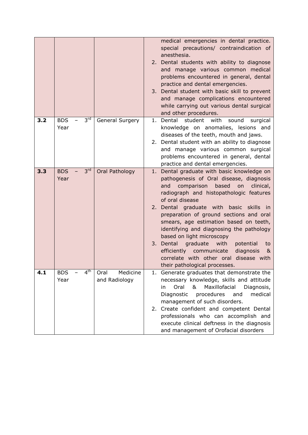|     |                                       |                                   | medical emergencies in dental practice.<br>special precautions/ contraindication of<br>anesthesia.<br>2. Dental students with ability to diagnose<br>and manage various common medical<br>problems encountered in general, dental<br>practice and dental emergencies.<br>3. Dental student with basic skill to prevent<br>and manage complications encountered<br>while carrying out various dental surgical<br>and other procedures.                                                                                                                             |
|-----|---------------------------------------|-----------------------------------|-------------------------------------------------------------------------------------------------------------------------------------------------------------------------------------------------------------------------------------------------------------------------------------------------------------------------------------------------------------------------------------------------------------------------------------------------------------------------------------------------------------------------------------------------------------------|
| 3.2 | $3^{\text{rd}}$<br><b>BDS</b><br>Year | General Surgery                   | student<br>1. Dental<br>with<br>sound<br>knowledge on anomalies, lesions and<br>diseases of the teeth, mouth and jaws.<br>2. Dental student with an ability to diagnose<br>and manage various common surgical<br>problems encountered in general, dental<br>practice and dental emergencies.                                                                                                                                                                                                                                                                      |
| 3.3 | 3 <sup>rd</sup><br><b>BDS</b><br>Year | Oral Pathology                    | 1. Dental graduate with basic knowledge on<br>pathogenesis of Oral disease, diagnosis<br>based<br>comparison<br>on<br>and<br>radiograph and histopathologic features<br>of oral disease<br>2. Dental graduate with basic skills in<br>preparation of ground sections and oral<br>smears, age estimation based on teeth,<br>identifying and diagnosing the pathology<br>based on light microscopy<br>3. Dental graduate<br>with<br>potential<br>efficiently<br>diagnosis<br>communicate<br>correlate with other oral disease with<br>their pathological processes. |
| 4.1 | 4 <sup>th</sup><br><b>BDS</b><br>Year | Medicine<br>Oral<br>and Radiology | 1. Generate graduates that demonstrate the<br>necessary knowledge, skills and attitude<br>Oral<br>&<br>Maxillofacial<br>Diagnosis,<br>in.<br>Diagnostic<br>procedures<br>and<br>management of such disorders.<br>2. Create confident and competent Dental<br>professionals who can accomplish and<br>execute clinical deftness in the diagnosis<br>and management of Orofacial disorders                                                                                                                                                                          |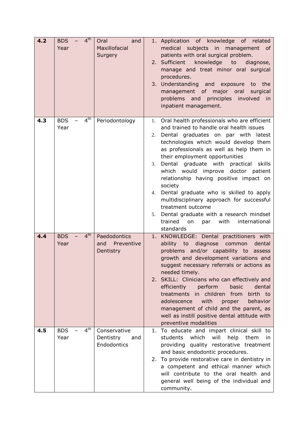| 4.2 | <b>BDS</b><br>Year | 4 <sup>th</sup> | Oral<br>and<br>Maxillofacial<br>Surgery         |                            | 1. Application of knowledge of related<br>medical subjects in management of<br>patients with oral surgical problem.<br>2. Sufficient<br>knowledge<br>diagnose,<br>to<br>manage and treat minor oral surgical<br>procedures.<br>3. Understanding and exposure<br>to the<br>management of major oral<br>surgical<br>problems and principles involved<br>in<br>inpatient management.                                                                                                                                                                                                                                     |
|-----|--------------------|-----------------|-------------------------------------------------|----------------------------|-----------------------------------------------------------------------------------------------------------------------------------------------------------------------------------------------------------------------------------------------------------------------------------------------------------------------------------------------------------------------------------------------------------------------------------------------------------------------------------------------------------------------------------------------------------------------------------------------------------------------|
| 4.3 | <b>BDS</b><br>Year | 4 <sup>th</sup> | Periodontology                                  | 1.<br>2.<br>3.<br>4.<br>5. | Oral health professionals who are efficient<br>and trained to handle oral health issues<br>Dental graduates on par with latest<br>technologies which would develop them<br>as professionals as well as help them in<br>their employment opportunities<br>Dental graduate with<br>practical<br>skills<br>which would improve doctor patient<br>relationship having positive impact on<br>society<br>Dental graduate who is skilled to apply<br>multidisciplinary approach for successful<br>treatment outcome<br>Dental graduate with a research mindset<br>trained<br>with<br>international<br>on<br>par<br>standards |
| 4.4 | <b>BDS</b><br>Year | 4 <sup>th</sup> | Paedodontics<br>Preventive<br>and<br>Dentistry  |                            | 1. KNOWLEDGE: Dental practitioners with<br>ability to diagnose common<br>dental<br>problems and/or capability to assess<br>growth and development variations and<br>suggest necessary referrals or actions as<br>needed timely.<br>2. SKILL: Clinicians who can effectively and<br>efficiently<br>perform<br>dental<br>basic<br>treatments in children from<br>birth to<br>adolescence<br>with<br>behavior<br>proper<br>management of child and the parent, as<br>well as instill positive dental attitude with<br>preventive modalities                                                                              |
| 4.5 | <b>BDS</b><br>Year | 4 <sup>th</sup> | Conservative<br>Dentistry<br>and<br>Endodontics |                            | 1. To educate and impart clinical skill to<br>students<br>which<br>will<br>help<br>them<br>in.<br>providing quality restorative treatment<br>and basic endodontic procedures.<br>2. To provide restorative care in dentistry in<br>a competent and ethical manner which<br>will contribute to the oral health and<br>general well being of the individual and<br>community.                                                                                                                                                                                                                                           |